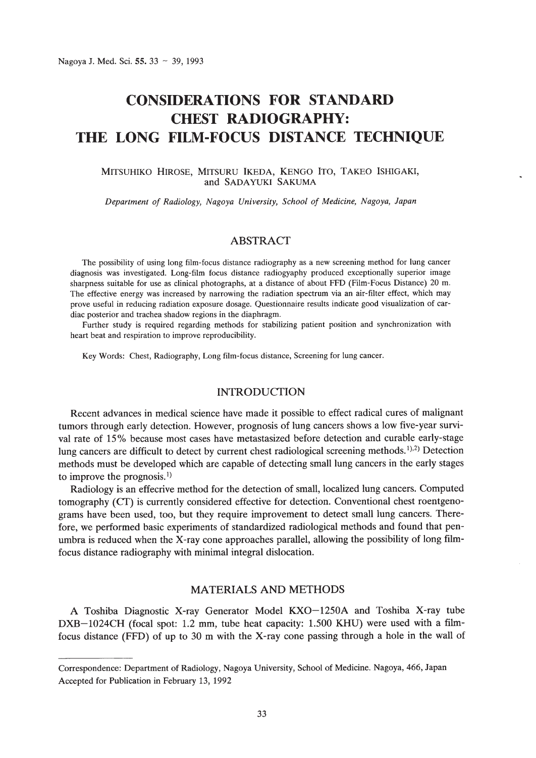# **CONSIDERATIONS FOR STANDARD CHEST RADIOGRAPHY: THE LONG FILM-FOCUS DISTANCE TECHNIQUE**

#### MITSUHIKO HIROSE, MITSURU IKEDA, KENGO ITO, TAKEO ISHIGAKI, and SADAYUKI SAKUMA

*Department of Radiology, Nagoya University, School of Medicine, Nagoya, Japan*

# ABSTRACT

The possibility of using long film-focus distance radiography as a new screening method for lung cancer diagnosis was investigated. Long-film focus distance radiogyaphy produced exceptionally superior image sharpness suitable for use as clinical photographs, at a distance of about FFD (Film-Focus Distance) 20 m. The effective energy was increased by narrowing the radiation spectrum via an air-filter effect, which may prove useful in reducing radiation exposure dosage. Questionnaire results indicate good visualization of cardiac posterior and trachea shadow regions in the diaphragm.

Further study is required regarding methods for stabilizing patient position and synchronization with heart beat and respiration to improve reproducibility.

Key Words: Chest, Radiography, Long film-focus distance, Screening for lung cancer.

#### **INTRODUCTION**

Recent advances in medical science have made it possible to effect radical cures of malignant tumors through early detection. However, prognosis of lung cancers shows a low five-year survival rate of 15% because most cases have metastasized before detection and curable early-stage lung cancers are difficult to detect by current chest radiological screening methods.<sup>1),2)</sup> Detection methods must be developed which are capable of detecting small lung cancers in the early stages to improve the prognosis. I)

Radiology is an effecrive method for the detection of small, localized lung cancers. Computed tomography (Cf) is currently considered effective for detection. Conventional chest roentgenograms have been used, too, but they require improvement to detect small lung cancers. Therefore, we performed basic experiments of standardized radiological methods and found that penumbra is reduced when the X-ray cone approaches parallel, allowing the possibility of long filmfocus distance radiography with minimal integral dislocation.

#### MATERIALS AND METHODS

A Toshiba Diagnostic X-ray Generator Model KXO-1250A and Toshiba X-ray tube DXB-1024CH (focal spot: 1.2 mm, tube heat capacity: 1.500 KHU) were used with a filmfocus distance (FFD) of up to 30 m with the X-ray cone passing through a hole in the wall of

Correspondence: Department of Radiology, Nagoya University, School of Medicine. Nagoya, 466, Japan Accepted for Publication in February 13, 1992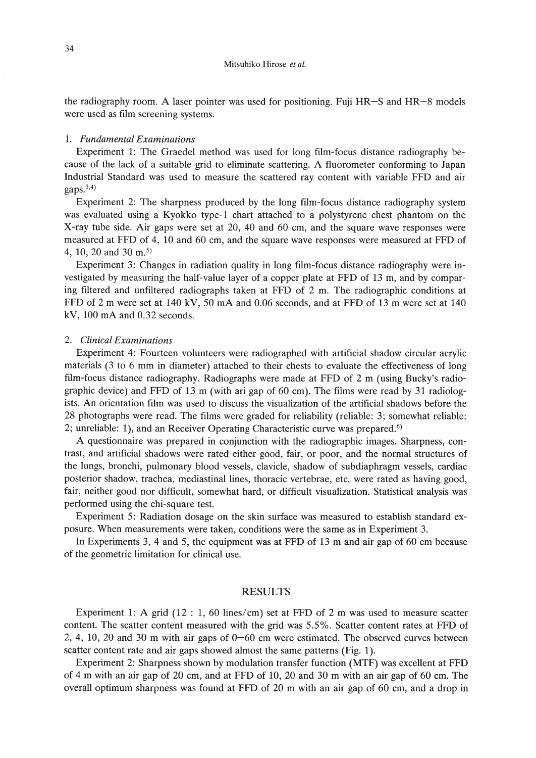the radiography room. A laser pointer was used for positioning. Fuji HR-S and HR-8 models were used as film screening systems.

#### 1. *Fundamental Examinations*

Experiment 1: The Graedel method was used for long film-focus distance radiography because of the lack of a suitable grid to eliminate scattering. A fluorometer conforming to Japan Industrial Standard was used to measure the scattered ray content with variable FFD and air gaps. $3,4)$ 

Experiment 2: The sharpness produced by the long film-focus distance radiography system was evaluated using a Kyokko type-1 chart attached to a polystyrene chest phantom on the X-ray tube side. Air gaps were set at 20, 40 and 60 cm, and the square wave responses were measured at FFD of 4, 10 and 60 cm, and the square wave responses were measured at FFD of 4, 10, 20 and 30 m. 5)

Experiment 3: Changes in radiation quality in long film-focus distance radiography were investigated by measuring the half-value layer of a copper plate at FFD of 13 m, and by comparing filtered and unfiltered radiographs taken at FFD of 2 m. The radiographic conditions at FFD of 2 m were set at 140 kV, 50 mA and 0.06 seconds, and at FFD of 13 m were set at 140  $kV$ , 100 mA and 0.32 seconds.

#### *2. Clinical Examinations*

Experiment 4: Fourteen volunteers were radiographed with artificial shadow circular acrylic materials (3 to 6 mm in diameter) attached to their chests to evaluate the effectiveness of long film-focus distance radiography. Radiographs were made at FFD of 2 m (using Bucky's radiographic device) and FFD of 13 m (with ari gap of 60 cm). The films were read by 31 radiologists. An orientation film was used to discuss the visualization of the artificial shadows before the 28 photographs were read. The films were graded for reliability (reliable: 3; somewhat reliable: 2; unreliable: 1), and an Receiver Operating Characteristic curve was prepared.<sup>6)</sup>

A questionnaire was prepared in conjunction with the radiographic images. Sharpness, contrast, and artificial shadows were rated either good, fair, or poor, and the normal structures of the lungs, bronchi, pulmonary blood vessels, clavicle, shadow of subdiaphragm vessels, cardiac posterior shadow, trachea, mediastinal lines, thoracic vertebrae, etc. were rated as having good, fair, neither good nor difficult, somewhat hard, or difficult visualization. Statistical analysis was performed using the chi-square test.

Experiment 5: Radiation dosage on the skin surface was measured to establish standard exposure. When measurements were taken, conditions were the same as in Experiment 3.

In Experiments 3, 4 and 5, the equipment was at FFD of 13 m and air gap of 60 cm because of the geometric limitation for clinical use.

#### RESULTS

Experiment 1: A grid (12 : 1, 60 lines/cm) set at FFD of 2 m was used to measure scatter content. The scatter content measured with the grid was 5.5%. Scatter content rates at FFD of 2, 4, 10, 20 and 30 m with air gaps of 0-60 cm were estimated. The observed curves between scatter content rate and air gaps showed almost the same patterns (Fig. 1).

Experiment 2: Sharpness shown by modulation transfer function (MTF) was excellent at FFD of 4 m with an air gap of 20 cm, and at FFD of 10, 20 and 30 m with an air gap of 60 cm. The overall optimum sharpness was found at FFD of 20 m with an air gap of 60 cm, and a drop in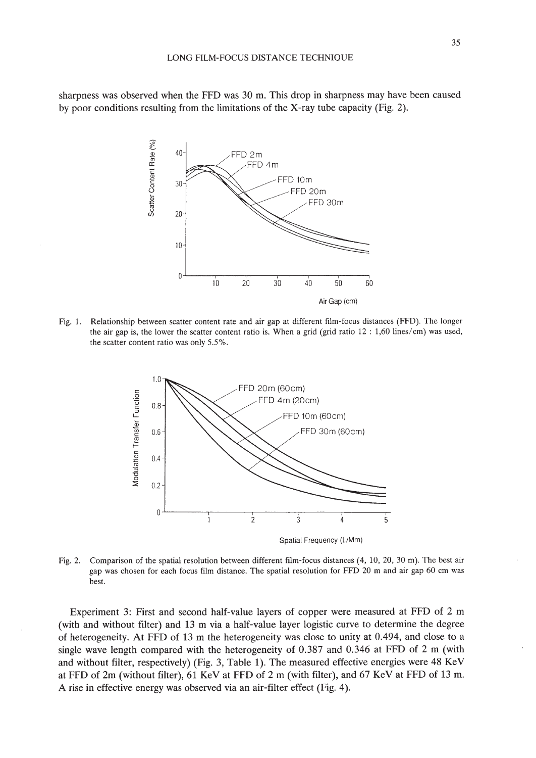sharpness was observed when the FFD was 30 m. This drop in sharpness may have been caused by poor conditions resulting from the limitations of the X-ray tube capacity (Fig. 2).



Fig. 1. Relationship between scatter content rate and air gap at different film-focus distances (FFD). The longer the air gap is, the lower the scatter content ratio is. When a grid (grid ratio 12 : 1,60 lines/em) was used, the scatter content ratio was only 5.5%.



Fig. 2. Comparison of the spatial resolution between different film-focus distances (4, 10,20,30 m). The best air gap was chosen for each focus film distance. The spatial resolution for FFD 20 m and air gap 60 em was best.

Experiment 3: First and second half-value layers of copper were measured at FFD of 2 m (with and without filter) and 13 m via a half-value layer logistic curve to determine the degree of heterogeneity. At FFD of 13 m the heterogeneity was close to unity at 0.494, and close to a single wave length compared with the heterogeneity of 0.387 and 0.346 at FFD of 2 m (with and without filter, respectively) (Fig. 3, Table 1). The measured effective energies were 48 KeV at FFD of 2m (without filter), 61 KeV at FFD of 2 m (with filter), and 67 KeV at FFD of 13 m. A rise in effective energy was observed via an air-filter effect (Fig. 4).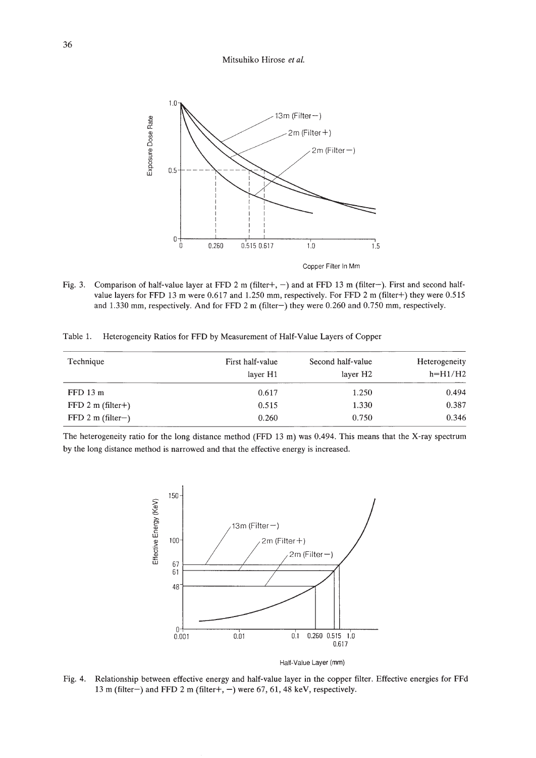#### Mitsuhiko Hirose *et al.*



Fig. 3. Comparison of half-value layer at FFD 2 m (filter+, -) and at FFD 13 m (filter-). First and second halfvalue layers for FFD 13 m were 0.617 and 1.250 mm, respectively. For FFD 2 m (filter+) they were 0.515 and 1.330 mm, respectively. And for FFD 2 m (filter-) they were 0.260 and 0.750 mm, respectively.

Table 1. Heterogeneity Ratios for FFD by Measurement of Half-Value Layers of Copper

| Technique           | First half-value<br>layer H <sub>1</sub> | Second half-value<br>layer H <sub>2</sub> | Heterogeneity<br>$h=H1/H2$ |  |
|---------------------|------------------------------------------|-------------------------------------------|----------------------------|--|
| $FFD$ 13 $m$        | 0.617                                    | 1.250                                     | 0.494                      |  |
| $FFD 2 m (filter+)$ | 0.515                                    | 1.330                                     | 0.387                      |  |
| $FFD 2 m (filter-)$ | 0.260                                    | 0.750                                     | 0.346                      |  |

The heterogeneity ratio for the long distance method (FFD 13 m) was 0.494. This means that the X-ray spectrum by the long distance method is narrowed and that the effective energy is increased.



Half-Value Layer (mm)

Fig. 4. Relationship between effective energy and half-value layer in the copper filter. Effective energies for FFd 13 m (filter-) and FFD 2 m (filter+, -) were 67, 61, 48 keV, respectively.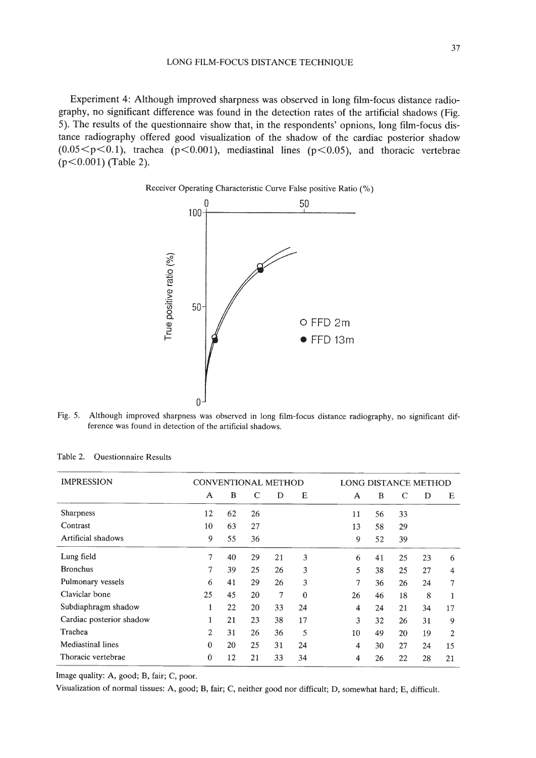Experiment 4: Although improved sharpness was observed in long film-focus distance radiography, no significant difference was found in the detection rates of the artificial shadows (Fig. 5). The results of the questionnaire show that, in the respondents' opnions, long film-focus distance radiography offered good visualization of the shadow of the cardiac posterior shadow  $(0.05 \le p \le 0.1)$ , trachea (p $\le 0.001$ ), mediastinal lines (p $\le 0.05$ ), and thoracic vertebrae  $(p<0.001)$  (Table 2).





Fig. 5. Although improved sharpness was observed in long film-focus distance radiography, no significant difference was found in detection of the artificial shadows.

| <b>IMPRESSION</b>        | <b>CONVENTIONAL METHOD</b> |          |    |                | LONG DISTANCE METHOD |    |    |    |    |    |
|--------------------------|----------------------------|----------|----|----------------|----------------------|----|----|----|----|----|
|                          | A                          | $\bf{B}$ | C  | D              | E                    | A  | B  | C  | D  | E  |
| <b>Sharpness</b>         | 12                         | 62       | 26 |                |                      | 11 | 56 | 33 |    |    |
| Contrast                 | 10                         | 63       | 27 |                |                      | 13 | 58 | 29 |    |    |
| Artificial shadows       | 9                          | 55       | 36 |                |                      | 9  | 52 | 39 |    |    |
| Lung field               | 7                          | 40       | 29 | 21             | 3                    | 6  | 41 | 25 | 23 | 6  |
| <b>Bronchus</b>          | 7                          | 39       | 25 | 26             | 3                    | 5  | 38 | 25 | 27 | 4  |
| Pulmonary vessels        | 6                          | 41       | 29 | 26             | 3                    | 7  | 36 | 26 | 24 | 7  |
| Claviclar bone           | 25                         | 45       | 20 | $\overline{7}$ | $\theta$             | 26 | 46 | 18 | 8  |    |
| Subdiaphragm shadow      | 1                          | 22       | 20 | 33             | 24                   | 4  | 24 | 21 | 34 | 17 |
| Cardiac posterior shadow | 1                          | 21       | 23 | 38             | 17                   | 3  | 32 | 26 | 31 | 9  |
| Trachea                  | $\overline{2}$             | 31       | 26 | 36             | 5                    | 10 | 49 | 20 | 19 | 2  |
| Mediastinal lines        | $\theta$                   | 20       | 25 | 31             | 24                   | 4  | 30 | 27 | 24 | 15 |
| Thoracic vertebrae       | $\mathbf{0}$               | 12       | 21 | 33             | 34                   | 4  | 26 | 22 | 28 | 21 |

Table 2. Questionnaire Results

Image quality: A, good; B, fair; C, poor.

Visualization of normal tissues: A, good; B, fair; C, neither good nor difficult; D, somewhat hard; E, difficult.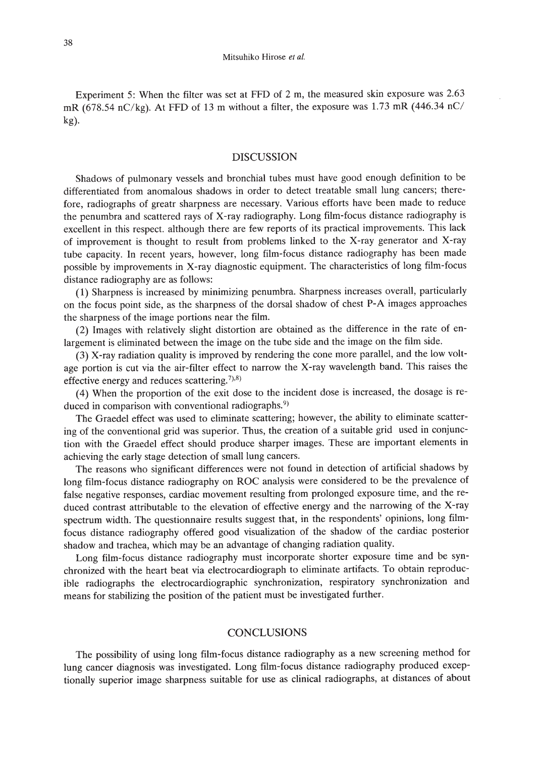Experiment 5: When the filter was set at FFD of 2 m, the measured skin exposure was 2.63 mR (678.54 nC/kg). At FFD of 13 m without a filter, the exposure was 1.73 mR (446.34 nC/ kg).

#### DISCUSSION

Shadows of pulmonary vessels and bronchial tubes must have good enough definition to be differentiated from anomalous shadows in order to detect treatable small lung cancers; therefore, radiographs of greatr sharpness are necessary. Various efforts have been made to reduce the penumbra and scattered rays of X-ray radiography. Long film-focus distance radiography is excellent in this respect. although there are few reports of its practical improvements. This lack of improvement is thought to result from problems linked to the X-ray generator and X-ray tube capacity. In recent years, however, long film-focus distance radiography has been made possible by improvements in X-ray diagnostic equipment. The characteristics of long film-focus distance radiography are as follows:

(1) Sharpness is increased by minimizing penumbra. Sharpness increases overall, particularly on the focus point side, as the sharpness of the dorsal shadow of chest P-A images approaches the sharpness of the image portions near the film.

(2) Images with relatively slight distortion are obtained as the difference in the rate of enlargement is eliminated between the image on the tube side and the image on the film side.

(3) X-ray radiation quality is improved by rendering the cone more parallel, and the low voltage portion is cut via the air-filter effect to narrow the X-ray wavelength band. This raises the effective energy and reduces scattering.<sup>7),8)</sup>

(4) When the proportion of the exit dose to the incident dose is increased, the dosage is reduced in comparison with conventional radiographs.<sup>9)</sup>

The Graedel effect was used to eliminate scattering; however, the ability to eliminate scattering of the conventional grid was superior. Thus, the creation of a suitable grid used in conjunction with the Graedel effect should produce sharper images. These are important elements in achieving the early stage detection of small lung cancers.

The reasons who significant differences were not found in detection of artificial shadows by long film-focus distance radiography on ROC analysis were considered to be the prevalence of false negative responses, cardiac movement resulting from prolonged exposure time, and the reduced contrast attributable to the elevation of effective energy and the narrowing of the X-ray spectrum width. The questionnaire results suggest that, in the respondents' opinions, long filmfocus distance radiography offered good visualization of the shadow of the cardiac posterior shadow and trachea, which may be an advantage of changing radiation quality.

Long film-focus distance radiography must incorporate shorter exposure time and be synchronized with the heart beat via electrocardiograph to eliminate artifacts. To obtain reproducible radiographs the electrocardiographic synchronization, respiratory synchronization and means for stabilizing the position of the patient must be investigated further.

## **CONCLUSIONS**

The possibility of using long film-focus distance radiography as a new screening method for lung cancer diagnosis was investigated. Long film-focus distance radiography produced exceptionally superior image sharpness suitable for use as clinical radiographs, at distances of about